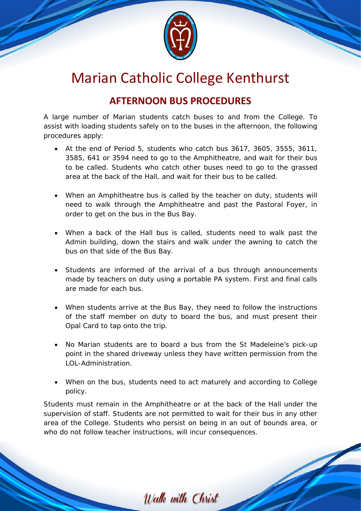

## Marian Catholic College Kenthurst

## **AFTERNOON BUS PROCEDURES**

A large number of Marian students catch buses to and from the College. To assist with loading students safely on to the buses in the afternoon, the following procedures apply:

- At the end of Period 5, students who catch bus 3617, 3605, 3555, 3611, 3585, 641 or 3594 need to go to the Amphitheatre, and wait for their bus to be called. Students who catch other buses need to go to the grassed area at the back of the Hall, and wait for their bus to be called.
- When an Amphitheatre bus is called by the teacher on duty, students will need to walk through the Amphitheatre and past the Pastoral Foyer, in order to get on the bus in the Bus Bay.
- When a back of the Hall bus is called, students need to walk past the Admin building, down the stairs and walk under the awning to catch the bus on that side of the Bus Bay.
- Students are informed of the arrival of a bus through announcements made by teachers on duty using a portable PA system. First and final calls are made for each bus.
- When students arrive at the Bus Bay, they need to follow the instructions of the staff member on duty to board the bus, and must present their Opal Card to tap onto the trip.
- No Marian students are to board a bus from the St Madeleine's pick-up point in the shared driveway unless they have written permission from the LOL-Administration.
- When on the bus, students need to act maturely and according to College policy.

Students must remain in the Amphitheatre or at the back of the Hall under the supervision of staff. Students are not permitted to wait for their bus in any other area of the College. Students who persist on being in an out of bounds area, or who do not follow teacher instructions, will incur consequences.

Walk with Christ